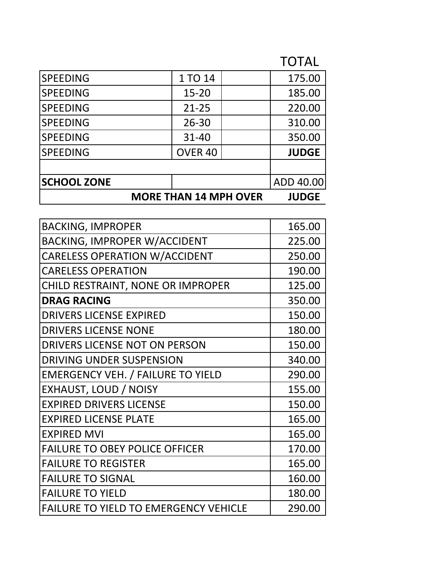## TOTAL

|                    | <b>MORE THAN 14 MPH OVER</b> | <b>JUDGE</b> |
|--------------------|------------------------------|--------------|
| <b>SCHOOL ZONE</b> |                              | ADD 40.00    |
|                    |                              |              |
| <b>SPEEDING</b>    | OVER <sub>40</sub>           | <b>JUDGE</b> |
| <b>SPEEDING</b>    | $31 - 40$                    | 350.00       |
| <b>SPEEDING</b>    | $26 - 30$                    | 310.00       |
| <b>SPEEDING</b>    | $21 - 25$                    | 220.00       |
| <b>SPEEDING</b>    | $15 - 20$                    | 185.00       |
| <b>SPEEDING</b>    | 1 TO 14                      | 175.00       |

| <b>BACKING, IMPROPER</b>                     | 165.00 |
|----------------------------------------------|--------|
| <b>BACKING, IMPROPER W/ACCIDENT</b>          | 225.00 |
| <b>CARELESS OPERATION W/ACCIDENT</b>         | 250.00 |
| <b>CARELESS OPERATION</b>                    | 190.00 |
| CHILD RESTRAINT, NONE OR IMPROPER            | 125.00 |
| <b>DRAG RACING</b>                           | 350.00 |
| <b>DRIVERS LICENSE EXPIRED</b>               | 150.00 |
| <b>DRIVERS LICENSE NONE</b>                  | 180.00 |
| <b>DRIVERS LICENSE NOT ON PERSON</b>         | 150.00 |
| <b>DRIVING UNDER SUSPENSION</b>              | 340.00 |
| <b>EMERGENCY VEH. / FAILURE TO YIELD</b>     | 290.00 |
| EXHAUST, LOUD / NOISY                        | 155.00 |
| <b>EXPIRED DRIVERS LICENSE</b>               | 150.00 |
| <b>EXPIRED LICENSE PLATE</b>                 | 165.00 |
| <b>EXPIRED MVI</b>                           | 165.00 |
| <b>FAILURE TO OBEY POLICE OFFICER</b>        | 170.00 |
| <b>FAILURE TO REGISTER</b>                   | 165.00 |
| <b>FAILURE TO SIGNAL</b>                     | 160.00 |
| <b>FAILURE TO YIELD</b>                      | 180.00 |
| <b>FAILURE TO YIELD TO EMERGENCY VEHICLE</b> | 290.00 |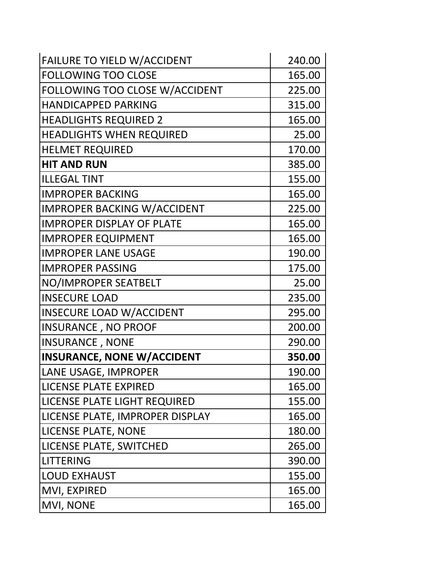| FAILURE TO YIELD W/ACCIDENT        | 240.00 |
|------------------------------------|--------|
| <b>FOLLOWING TOO CLOSE</b>         | 165.00 |
| FOLLOWING TOO CLOSE W/ACCIDENT     | 225.00 |
| <b>HANDICAPPED PARKING</b>         | 315.00 |
| <b>HEADLIGHTS REQUIRED 2</b>       | 165.00 |
| <b>HEADLIGHTS WHEN REQUIRED</b>    | 25.00  |
| <b>HELMET REQUIRED</b>             | 170.00 |
| <b>HIT AND RUN</b>                 | 385.00 |
| <b>ILLEGAL TINT</b>                | 155.00 |
| <b>IMPROPER BACKING</b>            | 165.00 |
| <b>IMPROPER BACKING W/ACCIDENT</b> | 225.00 |
| <b>IMPROPER DISPLAY OF PLATE</b>   | 165.00 |
| <b>IMPROPER EQUIPMENT</b>          | 165.00 |
| <b>IMPROPER LANE USAGE</b>         | 190.00 |
| <b>IMPROPER PASSING</b>            | 175.00 |
| NO/IMPROPER SEATBELT               | 25.00  |
| <b>INSECURE LOAD</b>               | 235.00 |
| <b>INSECURE LOAD W/ACCIDENT</b>    | 295.00 |
| <b>INSURANCE, NO PROOF</b>         | 200.00 |
| <b>INSURANCE, NONE</b>             | 290.00 |
| <b>INSURANCE, NONE W/ACCIDENT</b>  | 350.00 |
| LANE USAGE, IMPROPER               | 190.00 |
| <b>LICENSE PLATE EXPIRED</b>       | 165.00 |
| LICENSE PLATE LIGHT REQUIRED       | 155.00 |
| LICENSE PLATE, IMPROPER DISPLAY    | 165.00 |
| <b>LICENSE PLATE, NONE</b>         | 180.00 |
| LICENSE PLATE, SWITCHED            | 265.00 |
| <b>LITTERING</b>                   | 390.00 |
| <b>LOUD EXHAUST</b>                | 155.00 |
| MVI, EXPIRED                       | 165.00 |
| MVI, NONE                          | 165.00 |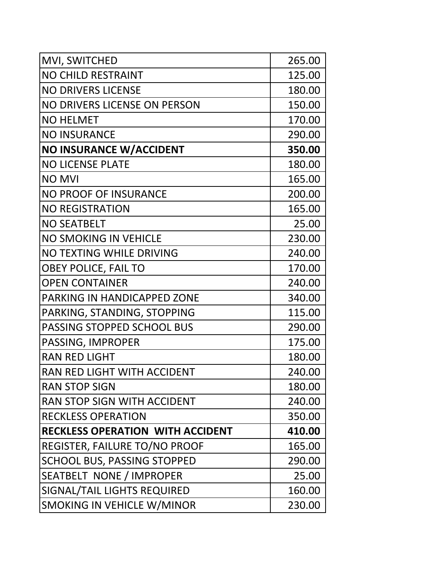| MVI, SWITCHED                           | 265.00 |
|-----------------------------------------|--------|
| <b>NO CHILD RESTRAINT</b>               | 125.00 |
| <b>NO DRIVERS LICENSE</b>               | 180.00 |
| NO DRIVERS LICENSE ON PERSON            | 150.00 |
| <b>NO HELMET</b>                        | 170.00 |
| <b>NO INSURANCE</b>                     | 290.00 |
| <b>NO INSURANCE W/ACCIDENT</b>          | 350.00 |
| <b>NO LICENSE PLATE</b>                 | 180.00 |
| <b>NO MVI</b>                           | 165.00 |
| <b>NO PROOF OF INSURANCE</b>            | 200.00 |
| <b>NO REGISTRATION</b>                  | 165.00 |
| <b>NO SEATBELT</b>                      | 25.00  |
| <b>NO SMOKING IN VEHICLE</b>            | 230.00 |
| NO TEXTING WHILE DRIVING                | 240.00 |
| <b>OBEY POLICE, FAIL TO</b>             | 170.00 |
| <b>OPEN CONTAINER</b>                   | 240.00 |
| <b>PARKING IN HANDICAPPED ZONE</b>      | 340.00 |
| PARKING, STANDING, STOPPING             | 115.00 |
| PASSING STOPPED SCHOOL BUS              | 290.00 |
| PASSING, IMPROPER                       | 175.00 |
| <b>RAN RED LIGHT</b>                    | 180.00 |
| RAN RED LIGHT WITH ACCIDENT             | 240.00 |
| <b>RAN STOP SIGN</b>                    | 180.00 |
| RAN STOP SIGN WITH ACCIDENT             | 240.00 |
| <b>RECKLESS OPERATION</b>               | 350.00 |
| <b>RECKLESS OPERATION WITH ACCIDENT</b> | 410.00 |
| REGISTER, FAILURE TO/NO PROOF           | 165.00 |
| <b>SCHOOL BUS, PASSING STOPPED</b>      | 290.00 |
| <b>SEATBELT NONE / IMPROPER</b>         | 25.00  |
| SIGNAL/TAIL LIGHTS REQUIRED             | 160.00 |
| SMOKING IN VEHICLE W/MINOR              | 230.00 |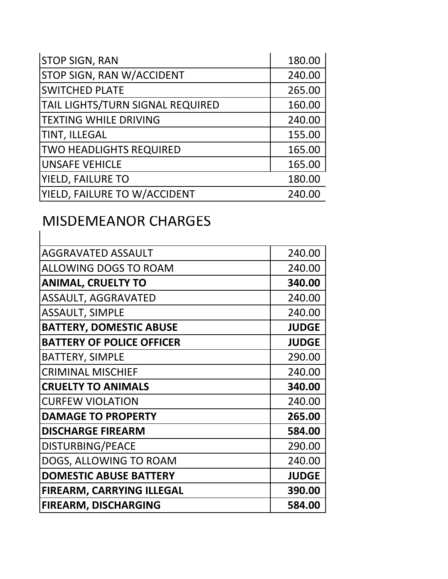| <b>STOP SIGN, RAN</b>            | 180.00 |
|----------------------------------|--------|
| <b>STOP SIGN, RAN W/ACCIDENT</b> | 240.00 |
| <b>SWITCHED PLATE</b>            | 265.00 |
| TAIL LIGHTS/TURN SIGNAL REQUIRED | 160.00 |
| <b>TEXTING WHILE DRIVING</b>     | 240.00 |
| <b>TINT, ILLEGAL</b>             | 155.00 |
| <b>TWO HEADLIGHTS REQUIRED</b>   | 165.00 |
| <b>UNSAFE VEHICLE</b>            | 165.00 |
| <b>YIELD, FAILURE TO</b>         | 180.00 |
| YIELD, FAILURE TO W/ACCIDENT     | 240.00 |

## MISDEMEANOR CHARGES

| <b>AGGRAVATED ASSAULT</b>        | 240.00       |
|----------------------------------|--------------|
| <b>ALLOWING DOGS TO ROAM</b>     | 240.00       |
| <b>ANIMAL, CRUELTY TO</b>        | 340.00       |
| <b>ASSAULT, AGGRAVATED</b>       | 240.00       |
| <b>ASSAULT, SIMPLE</b>           | 240.00       |
| <b>BATTERY, DOMESTIC ABUSE</b>   | <b>JUDGE</b> |
| <b>BATTERY OF POLICE OFFICER</b> | <b>JUDGE</b> |
| <b>BATTERY, SIMPLE</b>           | 290.00       |
| <b>CRIMINAL MISCHIEF</b>         | 240.00       |
| <b>CRUELTY TO ANIMALS</b>        | 340.00       |
| <b>CURFEW VIOLATION</b>          | 240.00       |
| <b>DAMAGE TO PROPERTY</b>        | 265.00       |
| <b>DISCHARGE FIREARM</b>         | 584.00       |
| DISTURBING/PEACE                 | 290.00       |
| DOGS, ALLOWING TO ROAM           | 240.00       |
| <b>DOMESTIC ABUSE BATTERY</b>    | <b>JUDGE</b> |
| FIREARM, CARRYING ILLEGAL        | 390.00       |
| <b>FIREARM, DISCHARGING</b>      | 584.00       |